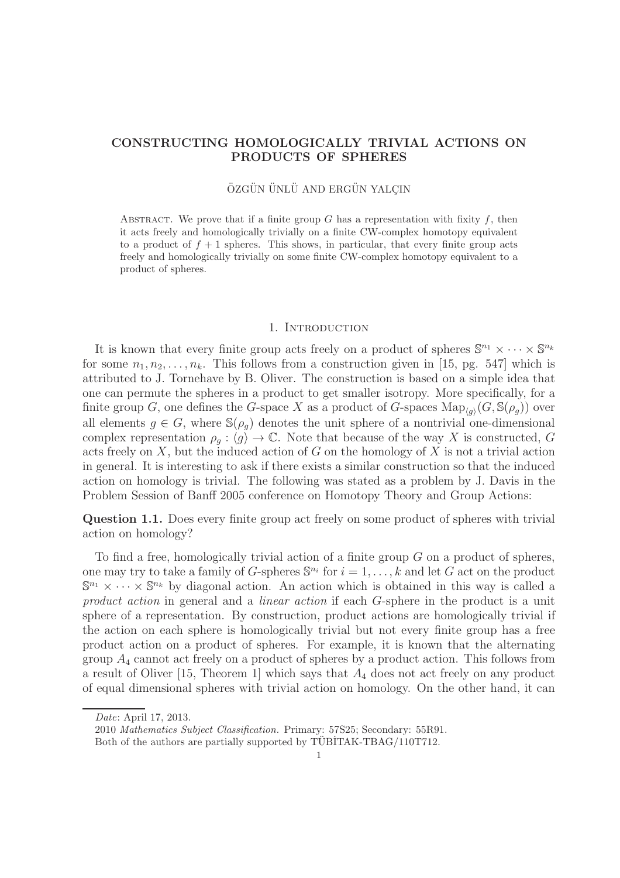# CONSTRUCTING HOMOLOGICALLY TRIVIAL ACTIONS ON PRODUCTS OF SPHERES

# ÖZGÜN ÜNLÜ AND ERGÜN YALCIN

ABSTRACT. We prove that if a finite group G has a representation with fixity  $f$ , then it acts freely and homologically trivially on a finite CW-complex homotopy equivalent to a product of  $f + 1$  spheres. This shows, in particular, that every finite group acts freely and homologically trivially on some finite CW-complex homotopy equivalent to a product of spheres.

#### 1. INTRODUCTION

It is known that every finite group acts freely on a product of spheres  $\mathbb{S}^{n_1} \times \cdots \times \mathbb{S}^{n_k}$ for some  $n_1, n_2, \ldots, n_k$ . This follows from a construction given in [15, pg. 547] which is attributed to J. Tornehave by B. Oliver. The construction is based on a simple idea that one can permute the spheres in a product to get smaller isotropy. More specifically, for a finite group G, one defines the G-space X as a product of G-spaces  $\text{Map}_{\langle g \rangle}(G, \mathbb{S}(\rho_g))$  over all elements  $g \in G$ , where  $\mathbb{S}(\rho_q)$  denotes the unit sphere of a nontrivial one-dimensional complex representation  $\rho_g : \langle g \rangle \to \mathbb{C}$ . Note that because of the way X is constructed, G acts freely on  $X$ , but the induced action of  $G$  on the homology of  $X$  is not a trivial action in general. It is interesting to ask if there exists a similar construction so that the induced action on homology is trivial. The following was stated as a problem by J. Davis in the Problem Session of Banff 2005 conference on Homotopy Theory and Group Actions:

Question 1.1. Does every finite group act freely on some product of spheres with trivial action on homology?

To find a free, homologically trivial action of a finite group  $G$  on a product of spheres, one may try to take a family of G-spheres  $\mathbb{S}^{n_i}$  for  $i = 1, \ldots, k$  and let G act on the product  $\mathbb{S}^{n_1} \times \cdots \times \mathbb{S}^{n_k}$  by diagonal action. An action which is obtained in this way is called a product action in general and a *linear action* if each G-sphere in the product is a unit sphere of a representation. By construction, product actions are homologically trivial if the action on each sphere is homologically trivial but not every finite group has a free product action on a product of spheres. For example, it is known that the alternating group  $A_4$  cannot act freely on a product of spheres by a product action. This follows from a result of Oliver [15, Theorem 1] which says that  $A_4$  does not act freely on any product of equal dimensional spheres with trivial action on homology. On the other hand, it can

Date: April 17, 2013.

<sup>2010</sup> Mathematics Subject Classification. Primary: 57S25; Secondary: 55R91.

Both of the authors are partially supported by TUBITAK-TBAG/110T712.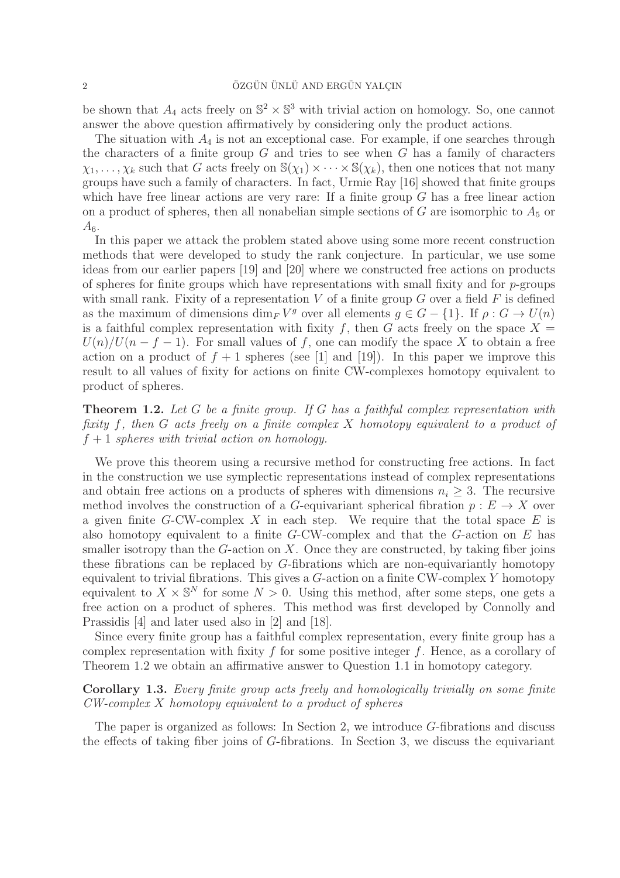be shown that  $A_4$  acts freely on  $\mathbb{S}^2 \times \mathbb{S}^3$  with trivial action on homology. So, one cannot answer the above question affirmatively by considering only the product actions.

The situation with  $A_4$  is not an exceptional case. For example, if one searches through the characters of a finite group  $G$  and tries to see when  $G$  has a family of characters  $\chi_1, \ldots, \chi_k$  such that G acts freely on  $\mathbb{S}(\chi_1) \times \cdots \times \mathbb{S}(\chi_k)$ , then one notices that not many groups have such a family of characters. In fact, Urmie Ray [16] showed that finite groups which have free linear actions are very rare: If a finite group  $G$  has a free linear action on a product of spheres, then all nonabelian simple sections of G are isomorphic to  $A_5$  or  $A<sub>6</sub>$ .

In this paper we attack the problem stated above using some more recent construction methods that were developed to study the rank conjecture. In particular, we use some ideas from our earlier papers [19] and [20] where we constructed free actions on products of spheres for finite groups which have representations with small fixity and for  $p$ -groups with small rank. Fixity of a representation  $V$  of a finite group  $G$  over a field  $F$  is defined as the maximum of dimensions  $\dim_F V^g$  over all elements  $g \in G - \{1\}$ . If  $\rho : G \to U(n)$ is a faithful complex representation with fixity f, then G acts freely on the space  $X =$  $U(n)/U(n-f-1)$ . For small values of f, one can modify the space X to obtain a free action on a product of  $f + 1$  spheres (see [1] and [19]). In this paper we improve this result to all values of fixity for actions on finite CW-complexes homotopy equivalent to product of spheres.

**Theorem 1.2.** Let  $G$  be a finite group. If  $G$  has a faithful complex representation with fixity f, then G acts freely on a finite complex X homotopy equivalent to a product of  $f + 1$  spheres with trivial action on homology.

We prove this theorem using a recursive method for constructing free actions. In fact in the construction we use symplectic representations instead of complex representations and obtain free actions on a products of spheres with dimensions  $n_i \geq 3$ . The recursive method involves the construction of a G-equivariant spherical fibration  $p: E \to X$  over a given finite G-CW-complex X in each step. We require that the total space  $E$  is also homotopy equivalent to a finite  $G$ -CW-complex and that the  $G$ -action on E has smaller isotropy than the  $G$ -action on  $X$ . Once they are constructed, by taking fiber joins these fibrations can be replaced by G-fibrations which are non-equivariantly homotopy equivalent to trivial fibrations. This gives a  $G$ -action on a finite CW-complex Y homotopy equivalent to  $X \times \mathbb{S}^N$  for some  $N > 0$ . Using this method, after some steps, one gets a free action on a product of spheres. This method was first developed by Connolly and Prassidis [4] and later used also in [2] and [18].

Since every finite group has a faithful complex representation, every finite group has a complex representation with fixity f for some positive integer f. Hence, as a corollary of Theorem 1.2 we obtain an affirmative answer to Question 1.1 in homotopy category.

# Corollary 1.3. Every finite group acts freely and homologically trivially on some finite CW-complex X homotopy equivalent to a product of spheres

The paper is organized as follows: In Section 2, we introduce G-fibrations and discuss the effects of taking fiber joins of G-fibrations. In Section 3, we discuss the equivariant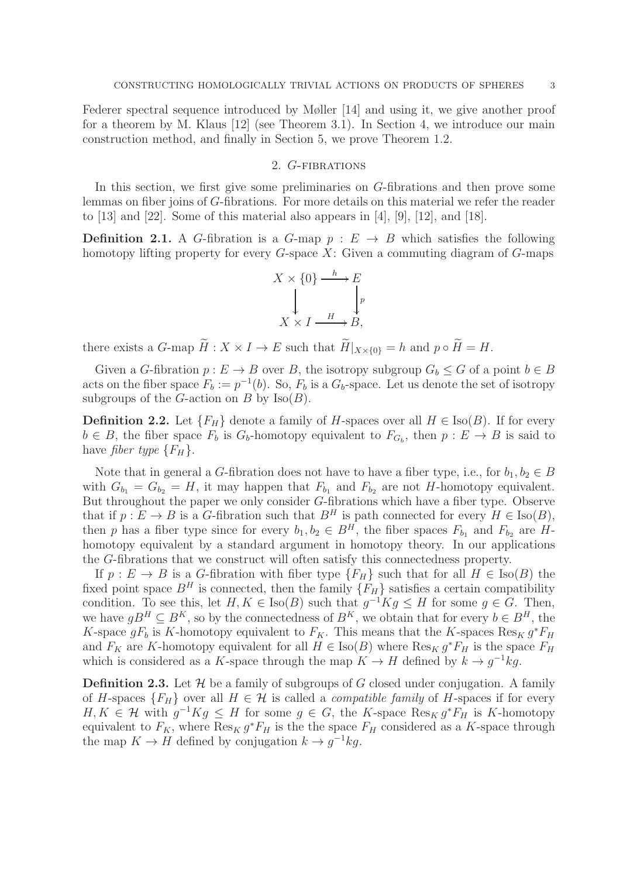Federer spectral sequence introduced by Møller [14] and using it, we give another proof for a theorem by M. Klaus [12] (see Theorem 3.1). In Section 4, we introduce our main construction method, and finally in Section 5, we prove Theorem 1.2.

## 2. G-fibrations

In this section, we first give some preliminaries on G-fibrations and then prove some lemmas on fiber joins of G-fibrations. For more details on this material we refer the reader to  $[13]$  and  $[22]$ . Some of this material also appears in  $[4]$ ,  $[9]$ ,  $[12]$ , and  $[18]$ .

**Definition 2.1.** A G-fibration is a G-map  $p : E \rightarrow B$  which satisfies the following homotopy lifting property for every  $G$ -space X: Given a commuting diagram of  $G$ -maps

$$
X \times \{0\} \xrightarrow{h} E
$$
  
\n
$$
\downarrow \qquad \qquad \downarrow p
$$
  
\n
$$
X \times I \xrightarrow{H} B,
$$

there exists a G-map  $\widetilde{H}: X \times I \to E$  such that  $\widetilde{H}|_{X \times \{0\}} = h$  and  $p \circ \widetilde{H} = H$ .

Given a G-fibration  $p: E \to B$  over B, the isotropy subgroup  $G_b \leq G$  of a point  $b \in B$ acts on the fiber space  $F_b := p^{-1}(b)$ . So,  $F_b$  is a  $G_b$ -space. Let us denote the set of isotropy subgroups of the *G*-action on *B* by  $\text{Iso}(B)$ .

**Definition 2.2.** Let  ${F_H}$  denote a family of H-spaces over all  $H \in Iso(B)$ . If for every  $b \in B$ , the fiber space  $F_b$  is  $G_b$ -homotopy equivalent to  $F_{G_b}$ , then  $p: E \to B$  is said to have *fiber type*  ${F_H}$ .

Note that in general a G-fibration does not have to have a fiber type, i.e., for  $b_1, b_2 \in B$ with  $G_{b_1} = G_{b_2} = H$ , it may happen that  $F_{b_1}$  and  $F_{b_2}$  are not H-homotopy equivalent. But throughout the paper we only consider G-fibrations which have a fiber type. Observe that if  $p: E \to B$  is a G-fibration such that  $B^H$  is path connected for every  $H \in Iso(B)$ , then p has a fiber type since for every  $b_1, b_2 \in B^H$ , the fiber spaces  $F_{b_1}$  and  $F_{b_2}$  are  $H$ homotopy equivalent by a standard argument in homotopy theory. In our applications the G-fibrations that we construct will often satisfy this connectedness property.

If  $p: E \to B$  is a G-fibration with fiber type  ${F_H}$  such that for all  $H \in Iso(B)$  the fixed point space  $B<sup>H</sup>$  is connected, then the family  $\{\tilde{F}_{H}\}$  satisfies a certain compatibility condition. To see this, let  $H, K \in \text{Iso}(B)$  such that  $g^{-1}Kg \leq H$  for some  $g \in G$ . Then, we have  $gB^H \subseteq B^K$ , so by the connectedness of  $B^K$ , we obtain that for every  $b \in B^H$ , the K-space  $gF_b$  is K-homotopy equivalent to  $F_K$ . This means that the K-spaces  $\text{Res}_K g^*F_H$ and  $F_K$  are K-homotopy equivalent for all  $H \in \text{Iso}(B)$  where  $\text{Res}_K g^* F_H$  is the space  $F_H$ which is considered as a K-space through the map  $K \to H$  defined by  $k \to g^{-1}kg$ .

**Definition 2.3.** Let  $\mathcal{H}$  be a family of subgroups of G closed under conjugation. A family of H-spaces  ${F_H}$  over all  $H \in \mathcal{H}$  is called a *compatible family* of H-spaces if for every  $H, K \in \mathcal{H}$  with  $g^{-1}Kg \leq H$  for some  $g \in G$ , the K-space  $\text{Res}_K g^*F_H$  is K-homotopy equivalent to  $F_K$ , where  $\text{Res}_K g^* F_H$  is the the space  $F_H$  considered as a K-space through the map  $K \to H$  defined by conjugation  $k \to g^{-1}kg$ .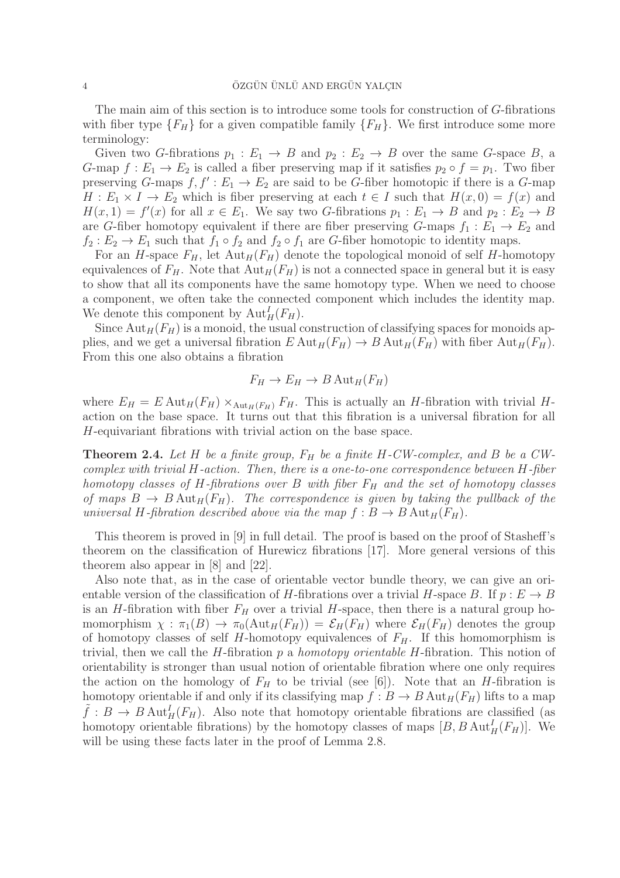The main aim of this section is to introduce some tools for construction of G-fibrations with fiber type  ${F_H}$  for a given compatible family  ${F_H}$ . We first introduce some more terminology:

Given two G-fibrations  $p_1 : E_1 \to B$  and  $p_2 : E_2 \to B$  over the same G-space B, a G-map  $f: E_1 \to E_2$  is called a fiber preserving map if it satisfies  $p_2 \circ f = p_1$ . Two fiber preserving G-maps  $f, f' : E_1 \to E_2$  are said to be G-fiber homotopic if there is a G-map  $H: E_1 \times I \to E_2$  which is fiber preserving at each  $t \in I$  such that  $H(x, 0) = f(x)$  and  $H(x, 1) = f'(x)$  for all  $x \in E_1$ . We say two G-fibrations  $p_1 : E_1 \to B$  and  $p_2 : E_2 \to B$ are G-fiber homotopy equivalent if there are fiber preserving G-maps  $f_1 : E_1 \to E_2$  and  $f_2: E_2 \to E_1$  such that  $f_1 \circ f_2$  and  $f_2 \circ f_1$  are G-fiber homotopic to identity maps.

For an H-space  $F_H$ , let  ${\rm Aut}_H(F_H)$  denote the topological monoid of self H-homotopy equivalences of  $F_H$ . Note that  ${\rm Aut}_H(F_H)$  is not a connected space in general but it is easy to show that all its components have the same homotopy type. When we need to choose a component, we often take the connected component which includes the identity map. We denote this component by  $\mathrm{Aut}^I_H(F_H)$ .

Since  $\text{Aut}_H(F_H)$  is a monoid, the usual construction of classifying spaces for monoids applies, and we get a universal fibration  $E \text{ Aut}_H(F_H) \to B \text{ Aut}_H(F_H)$  with fiber  $\text{Aut}_H(F_H)$ . From this one also obtains a fibration

$$
F_H \to E_H \to B \operatorname{Aut}_H(F_H)
$$

where  $E_H = E \text{Aut}_H(F_H) \times_{\text{Aut}_H(F_H)} F_H$ . This is actually an *H*-fibration with trivial *H*action on the base space. It turns out that this fibration is a universal fibration for all H-equivariant fibrations with trivial action on the base space.

**Theorem 2.4.** Let H be a finite group,  $F_H$  be a finite H-CW-complex, and B be a CWcomplex with trivial H-action. Then, there is a one-to-one correspondence between H-fiber homotopy classes of H-fibrations over B with fiber  $F_H$  and the set of homotopy classes of maps  $B \to B$  Aut<sub>H</sub>(F<sub>H</sub>). The correspondence is given by taking the pullback of the universal H-fibration described above via the map  $f : B \to B$  Aut<sub>H</sub>( $F_H$ ).

This theorem is proved in [9] in full detail. The proof is based on the proof of Stasheff's theorem on the classification of Hurewicz fibrations [17]. More general versions of this theorem also appear in [8] and [22].

Also note that, as in the case of orientable vector bundle theory, we can give an orientable version of the classification of H-fibrations over a trivial H-space B. If  $p : E \to B$ is an H-fibration with fiber  $F_H$  over a trivial H-space, then there is a natural group homomorphism  $\chi : \pi_1(B) \to \pi_0(\text{Aut}_H(F_H)) = \mathcal{E}_H(F_H)$  where  $\mathcal{E}_H(F_H)$  denotes the group of homotopy classes of self H-homotopy equivalences of  $F_H$ . If this homomorphism is trivial, then we call the  $H$ -fibration  $p$  a *homotopy orientable H*-fibration. This notion of orientability is stronger than usual notion of orientable fibration where one only requires the action on the homology of  $F_H$  to be trivial (see [6]). Note that an *H*-fibration is homotopy orientable if and only if its classifying map  $f : B \to B$  Aut<sub>H</sub>( $F_H$ ) lifts to a map  $\tilde{f}: B \to B \text{ Aut}_H^I(F_H)$ . Also note that homotopy orientable fibrations are classified (as homotopy orientable fibrations) by the homotopy classes of maps  $[B, B \text{ Aut}_H^I(F_H)]$ . We will be using these facts later in the proof of Lemma 2.8.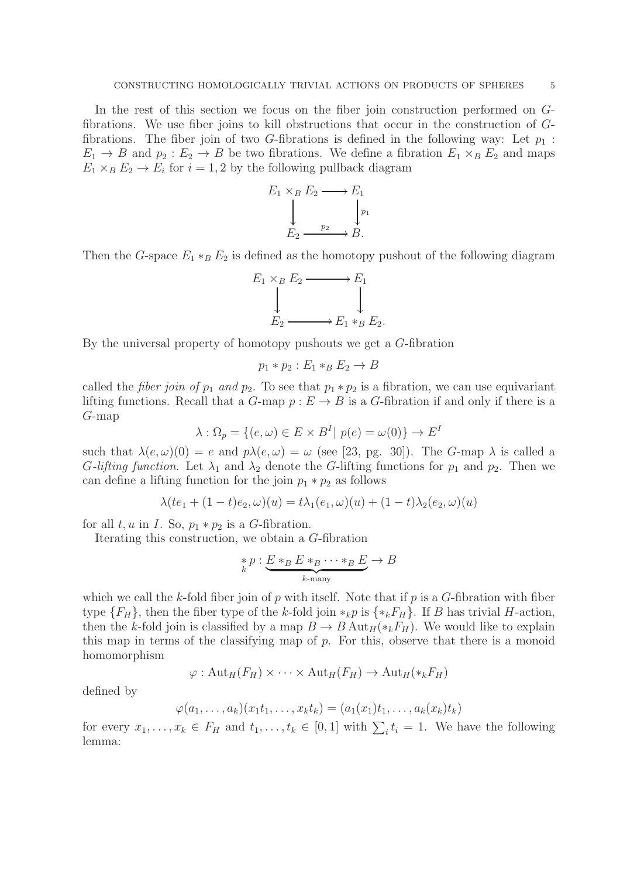In the rest of this section we focus on the fiber join construction performed on Gfibrations. We use fiber joins to kill obstructions that occur in the construction of Gfibrations. The fiber join of two G-fibrations is defined in the following way: Let  $p_1$ :  $E_1 \rightarrow B$  and  $p_2 : E_2 \rightarrow B$  be two fibrations. We define a fibration  $E_1 \times_B E_2$  and maps  $E_1 \times_B E_2 \to E_i$  for  $i = 1, 2$  by the following pullback diagram

$$
E_1 \times_B E_2 \longrightarrow E_1
$$
  
\n
$$
\downarrow \qquad \qquad \downarrow p_1
$$
  
\n
$$
E_2 \longrightarrow B.
$$

Then the G-space  $E_1 * _B E_2$  is defined as the homotopy pushout of the following diagram

$$
E_1 \times_B E_2 \longrightarrow E_1
$$
  
\n
$$
\downarrow \qquad \qquad \downarrow
$$
  
\n
$$
E_2 \longrightarrow E_1 *_{B} E_2.
$$

By the universal property of homotopy pushouts we get a G-fibration

$$
p_1 * p_2 : E_1 * _B E_2 \rightarrow B
$$

called the *fiber join of*  $p_1$  and  $p_2$ . To see that  $p_1 * p_2$  is a fibration, we can use equivariant lifting functions. Recall that a  $G$ -map  $p : E \to B$  is a  $G$ -fibration if and only if there is a G-map

$$
\lambda : \Omega_p = \{ (e, \omega) \in E \times B^I | \ p(e) = \omega(0) \} \to E^I
$$

such that  $\lambda(e,\omega)(0) = e$  and  $p\lambda(e,\omega) = \omega$  (see [23, pg. 30]). The G-map  $\lambda$  is called a G-lifting function. Let  $\lambda_1$  and  $\lambda_2$  denote the G-lifting functions for  $p_1$  and  $p_2$ . Then we can define a lifting function for the join  $p_1 * p_2$  as follows

$$
\lambda (te_1 + (1-t)e_2, \omega)(u) = t\lambda_1(e_1, \omega)(u) + (1-t)\lambda_2(e_2, \omega)(u)
$$

for all  $t, u$  in  $I$ . So,  $p_1 * p_2$  is a G-fibration.

Iterating this construction, we obtain a G-fibration

$$
\underset{k}{*} p: \underbrace{E*_{B}E*_{B}\cdots*_{B}E}_{k-\text{many}} \to B
$$

which we call the k-fold fiber join of p with itself. Note that if p is a  $G$ -fibration with fiber type  ${F_H}$ , then the fiber type of the k-fold join  $*_kp$  is  ${*_kF_H}$ . If B has trivial H-action, then the k-fold join is classified by a map  $B \to B$  Aut<sub>H</sub>( $*_kF_H$ ). We would like to explain this map in terms of the classifying map of  $p$ . For this, observe that there is a monoid homomorphism

$$
\varphi: \mathrm{Aut}_H(F_H) \times \cdots \times \mathrm{Aut}_H(F_H) \to \mathrm{Aut}_H(*_k F_H)
$$

defined by

$$
\varphi(a_1,\ldots,a_k)(x_1t_1,\ldots,x_kt_k)=(a_1(x_1)t_1,\ldots,a_k(x_k)t_k)
$$

for every  $x_1, \ldots, x_k \in F_H$  and  $t_1, \ldots, t_k \in [0,1]$  with  $\sum_i t_i = 1$ . We have the following lemma: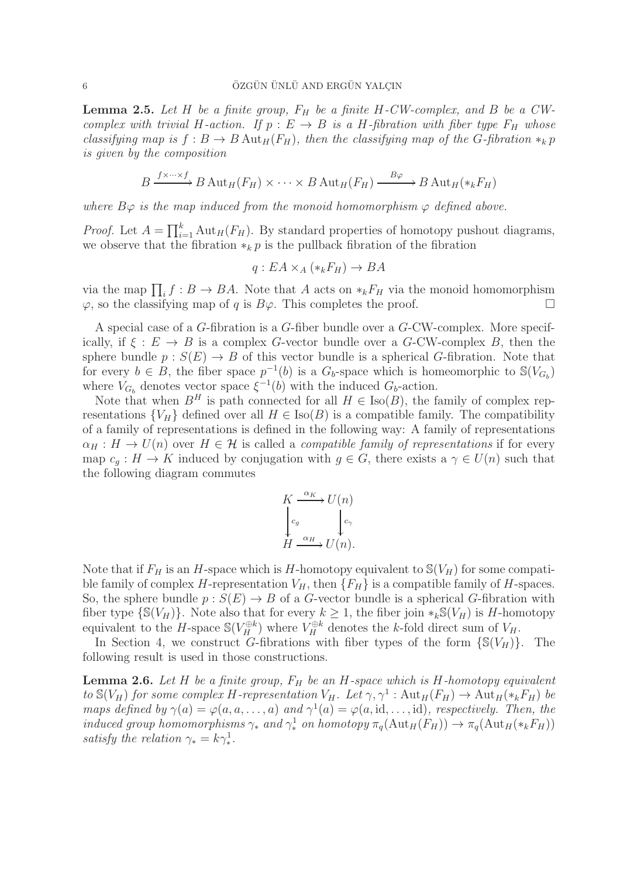**Lemma 2.5.** Let H be a finite group,  $F_H$  be a finite H-CW-complex, and B be a CWcomplex with trivial H-action. If  $p : E \to B$  is a H-fibration with fiber type  $F_H$  whose classifying map is  $f : B \to B$  Aut<sub>H</sub> $(F_H)$ , then the classifying map of the G-fibration  $*_k p$ is given by the composition

$$
B \xrightarrow{f \times \dots \times f} B \operatorname{Aut}_H(F_H) \times \dots \times B \operatorname{Aut}_H(F_H) \xrightarrow{B\varphi} B \operatorname{Aut}_H(\ast_k F_H)
$$

where  $B\varphi$  is the map induced from the monoid homomorphism  $\varphi$  defined above.

*Proof.* Let  $A = \prod_{i=1}^{k} \text{Aut}_{H}(F_{H})$ . By standard properties of homotopy pushout diagrams, we observe that the fibration  $*_k p$  is the pullback fibration of the fibration

$$
q: EA \times_A (*_kF_H) \to BA
$$

via the map  $\prod_i f : B \to BA$ . Note that A acts on  $*_kF_H$  via the monoid homomorphism  $\varphi$ , so the classifying map of q is  $B\varphi$ . This completes the proof.

A special case of a G-fibration is a G-fiber bundle over a G-CW-complex. More specifically, if  $\xi : E \to B$  is a complex G-vector bundle over a G-CW-complex B, then the sphere bundle  $p : S(E) \to B$  of this vector bundle is a spherical G-fibration. Note that for every  $b \in B$ , the fiber space  $p^{-1}(b)$  is a  $G_b$ -space which is homeomorphic to  $\mathcal{S}(V_{G_b})$ where  $V_{G_b}$  denotes vector space  $\xi^{-1}(b)$  with the induced  $G_b$ -action.

Note that when  $B<sup>H</sup>$  is path connected for all  $H \in Iso(B)$ , the family of complex representations  ${V_H}$  defined over all  $H \in Iso(B)$  is a compatible family. The compatibility of a family of representations is defined in the following way: A family of representations  $\alpha_H : H \to U(n)$  over  $H \in \mathcal{H}$  is called a *compatible family of representations* if for every map  $c_g : H \to K$  induced by conjugation with  $g \in G$ , there exists a  $\gamma \in U(n)$  such that the following diagram commutes

$$
K \xrightarrow{\alpha_K} U(n)
$$
  

$$
\downarrow_{c_g} C_g
$$
  

$$
H \xrightarrow{\alpha_H} U(n).
$$

Note that if  $F_H$  is an H-space which is H-homotopy equivalent to  $\mathcal{S}(V_H)$  for some compatible family of complex H-representation  $V_H$ , then  $\{F_H\}$  is a compatible family of H-spaces. So, the sphere bundle  $p: S(E) \to B$  of a G-vector bundle is a spherical G-fibration with fiber type  $\{S(V_H)\}\$ . Note also that for every  $k \geq 1$ , the fiber join  $*_k S(V_H)$  is H-homotopy equivalent to the H-space  $\mathbb{S}(V_H^{\oplus k})$  where  $V_H^{\oplus k}$  denotes the k-fold direct sum of  $V_H$ .

In Section 4, we construct G-fibrations with fiber types of the form  $\{S(V_H)\}\$ . The following result is used in those constructions.

**Lemma 2.6.** Let H be a finite group,  $F_H$  be an H-space which is H-homotopy equivalent to  $\mathbb{S}(V_H)$  for some complex H-representation  $V_H$ . Let  $\gamma, \gamma^1$ :  $\mathrm{Aut}_H(F_H) \to \mathrm{Aut}_H(*_kF_H)$  be maps defined by  $\gamma(a) = \varphi(a, a, \dots, a)$  and  $\gamma^1(a) = \varphi(a, id, \dots, id)$ , respectively. Then, the induced group homomorphisms  $\gamma_*$  and  $\gamma_*^1$  on homotopy  $\pi_q(\text{Aut}_H(F_H)) \to \pi_q(\text{Aut}_H(*_kF_H))$ satisfy the relation  $\gamma_* = k \gamma_*^1$ .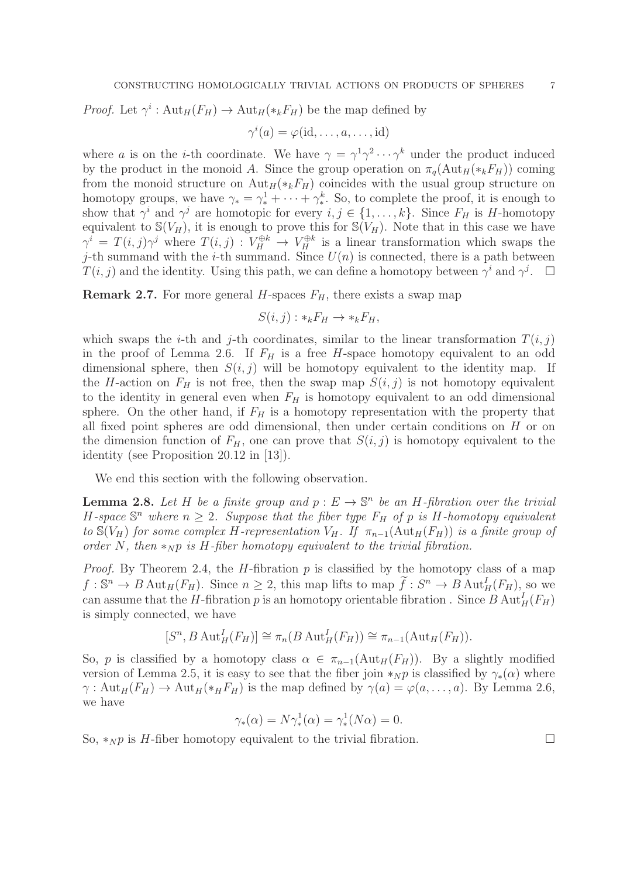*Proof.* Let  $\gamma^i : \text{Aut}_H(F_H) \to \text{Aut}_H(\ast_k F_H)$  be the map defined by

$$
\gamma^i(a) = \varphi(\mathrm{id}, \dots, a, \dots, \mathrm{id})
$$

where a is on the *i*-th coordinate. We have  $\gamma = \gamma^1 \gamma^2 \cdots \gamma^k$  under the product induced by the product in the monoid A. Since the group operation on  $\pi_q(\text{Aut}_H(*_kF_H))$  coming from the monoid structure on  $\text{Aut}_H(*_kF_H)$  coincides with the usual group structure on homotopy groups, we have  $\gamma_* = \gamma_*^1 + \cdots + \gamma_*^k$ . So, to complete the proof, it is enough to show that  $\gamma^i$  and  $\gamma^j$  are homotopic for every  $i, j \in \{1, ..., k\}$ . Since  $F_H$  is H-homotopy equivalent to  $\mathbb{S}(V_H)$ , it is enough to prove this for  $\mathbb{S}(V_H)$ . Note that in this case we have  $\gamma^i = T(i, j)\gamma^j$  where  $T(i, j) : V_H^{\oplus k} \to V_H^{\oplus k}$  is a linear transformation which swaps the j-th summand with the *i*-th summand. Since  $U(n)$  is connected, there is a path between  $T(i, j)$  and the identity. Using this path, we can define a homotopy between  $\gamma^i$  and  $\gamma^j$ .

**Remark 2.7.** For more general H-spaces  $F_H$ , there exists a swap map

$$
S(i,j): *_{k}F_{H} \to *_{k}F_{H},
$$

which swaps the *i*-th and *j*-th coordinates, similar to the linear transformation  $T(i, j)$ in the proof of Lemma 2.6. If  $F_H$  is a free H-space homotopy equivalent to an odd dimensional sphere, then  $S(i, j)$  will be homotopy equivalent to the identity map. If the H-action on  $F_H$  is not free, then the swap map  $S(i, j)$  is not homotopy equivalent to the identity in general even when  $F_H$  is homotopy equivalent to an odd dimensional sphere. On the other hand, if  $F_H$  is a homotopy representation with the property that all fixed point spheres are odd dimensional, then under certain conditions on  $H$  or on the dimension function of  $F_H$ , one can prove that  $S(i, j)$  is homotopy equivalent to the identity (see Proposition 20.12 in [13]).

We end this section with the following observation.

**Lemma 2.8.** Let H be a finite group and  $p: E \to \mathbb{S}^n$  be an H-fibration over the trivial H-space  $\mathbb{S}^n$  where  $n \geq 2$ . Suppose that the fiber type  $F_H$  of p is H-homotopy equivalent to  $\mathcal{S}(V_H)$  for some complex H-representation  $V_H$ . If  $\pi_{n-1}(\text{Aut}_H(F_H))$  is a finite group of order N, then  $\ast_{N} p$  is H-fiber homotopy equivalent to the trivial fibration.

*Proof.* By Theorem 2.4, the *H*-fibration  $p$  is classified by the homotopy class of a map  $f: \mathbb{S}^n \to B \text{Aut}_H(F_H)$ . Since  $n \geq 2$ , this map lifts to map  $\tilde{f}: S^n \to B \text{Aut}_H^1(F_H)$ , so we can assume that the *H*-fibration *p* is an homotopy orientable fibration . Since  $B \text{ Aut}_H^I(F_H)$ is simply connected, we have

$$
[S^n, B \operatorname{Aut}_H^I(F_H)] \cong \pi_n(B \operatorname{Aut}_H^I(F_H)) \cong \pi_{n-1}(\operatorname{Aut}_H(F_H)).
$$

So, p is classified by a homotopy class  $\alpha \in \pi_{n-1}(\text{Aut}_H(F_H))$ . By a slightly modified version of Lemma 2.5, it is easy to see that the fiber join  $\ast_N p$  is classified by  $\gamma_*(\alpha)$  where  $\gamma: \text{Aut}_H(F_H) \to \text{Aut}_H(\ast_H F_H)$  is the map defined by  $\gamma(a) = \varphi(a, \ldots, a)$ . By Lemma 2.6, we have

$$
\gamma_*(\alpha) = N \gamma_*^1(\alpha) = \gamma_*^1(N\alpha) = 0.
$$

So,  $*_{N}p$  is H-fiber homotopy equivalent to the trivial fibration.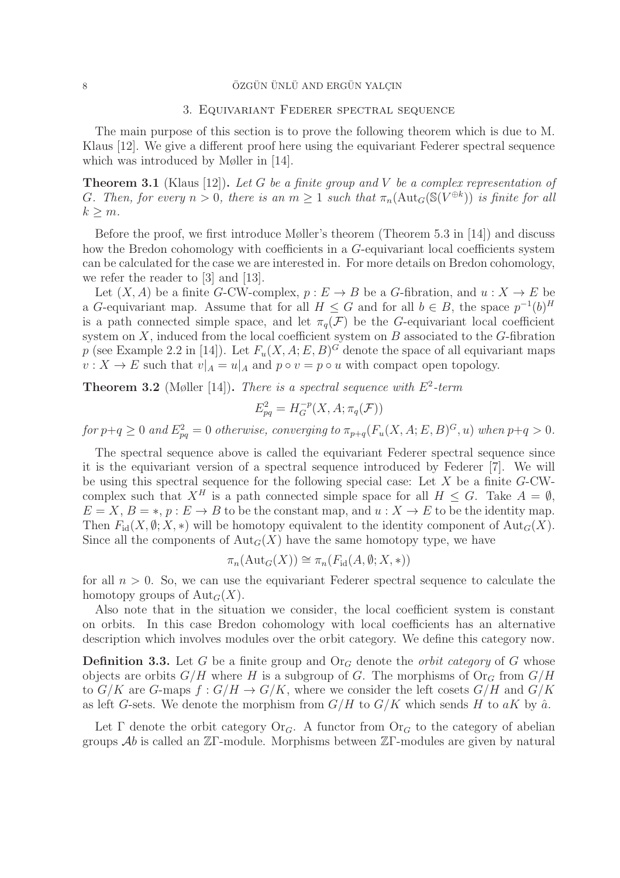# 3. Equivariant Federer spectral sequence

The main purpose of this section is to prove the following theorem which is due to M. Klaus [12]. We give a different proof here using the equivariant Federer spectral sequence which was introduced by Møller in [14].

**Theorem 3.1** (Klaus [12]). Let G be a finite group and V be a complex representation of G. Then, for every  $n > 0$ , there is an  $m \geq 1$  such that  $\pi_n(\text{Aut}_G(\mathbb{S}(V^{\oplus k}))$  is finite for all  $k > m$ .

Before the proof, we first introduce Møller's theorem (Theorem 5.3 in [14]) and discuss how the Bredon cohomology with coefficients in a G-equivariant local coefficients system can be calculated for the case we are interested in. For more details on Bredon cohomology, we refer the reader to [3] and [13].

Let  $(X, A)$  be a finite G-CW-complex,  $p : E \to B$  be a G-fibration, and  $u : X \to E$  be a G-equivariant map. Assume that for all  $H \leq G$  and for all  $b \in B$ , the space  $p^{-1}(b)^H$ is a path connected simple space, and let  $\pi_q(\mathcal{F})$  be the G-equivariant local coefficient system on  $X$ , induced from the local coefficient system on  $B$  associated to the  $G$ -fibration p (see Example 2.2 in [14]). Let  $F_u(X, A; E, B)^G$  denote the space of all equivariant maps  $v: X \to E$  such that  $v|_A = u|_A$  and  $p \circ v = p \circ u$  with compact open topology.

**Theorem 3.2** (Møller [14]). There is a spectral sequence with  $E^2$ -term

$$
E_{pq}^2 = H_G^{-p}(X, A; \pi_q(\mathcal{F}))
$$

for  $p+q\geq 0$  and  $E_{pq}^2=0$  otherwise, converging to  $\pi_{p+q}(F_u(X,A;E,B)^G,u)$  when  $p+q>0.$ 

The spectral sequence above is called the equivariant Federer spectral sequence since it is the equivariant version of a spectral sequence introduced by Federer [7]. We will be using this spectral sequence for the following special case: Let  $X$  be a finite  $G$ -CWcomplex such that  $X^H$  is a path connected simple space for all  $H \leq G$ . Take  $A = \emptyset$ ,  $E = X, B = *, p : E \rightarrow B$  to be the constant map, and  $u : X \rightarrow E$  to be the identity map. Then  $F_{id}(X, \emptyset; X, *)$  will be homotopy equivalent to the identity component of  $Aut_G(X)$ . Since all the components of  $\text{Aut}_G(X)$  have the same homotopy type, we have

$$
\pi_n(\mathrm{Aut}_G(X)) \cong \pi_n(F_{\mathrm{id}}(A, \emptyset; X, *))
$$

for all  $n > 0$ . So, we can use the equivariant Federer spectral sequence to calculate the homotopy groups of  $\text{Aut}_G(X)$ .

Also note that in the situation we consider, the local coefficient system is constant on orbits. In this case Bredon cohomology with local coefficients has an alternative description which involves modules over the orbit category. We define this category now.

**Definition 3.3.** Let G be a finite group and  $O_{\Gamma G}$  denote the *orbit category* of G whose objects are orbits  $G/H$  where H is a subgroup of G. The morphisms of  $Or_G$  from  $G/H$ to  $G/K$  are G-maps  $f: G/H \to G/K$ , where we consider the left cosets  $G/H$  and  $G/K$ as left G-sets. We denote the morphism from  $G/H$  to  $G/K$  which sends H to aK by  $\hat{a}$ .

Let  $\Gamma$  denote the orbit category Or<sub>G</sub>. A functor from Or<sub>G</sub> to the category of abelian groups  $\mathcal{A}b$  is called an  $\mathbb{Z}\Gamma$ -module. Morphisms between  $\mathbb{Z}\Gamma$ -modules are given by natural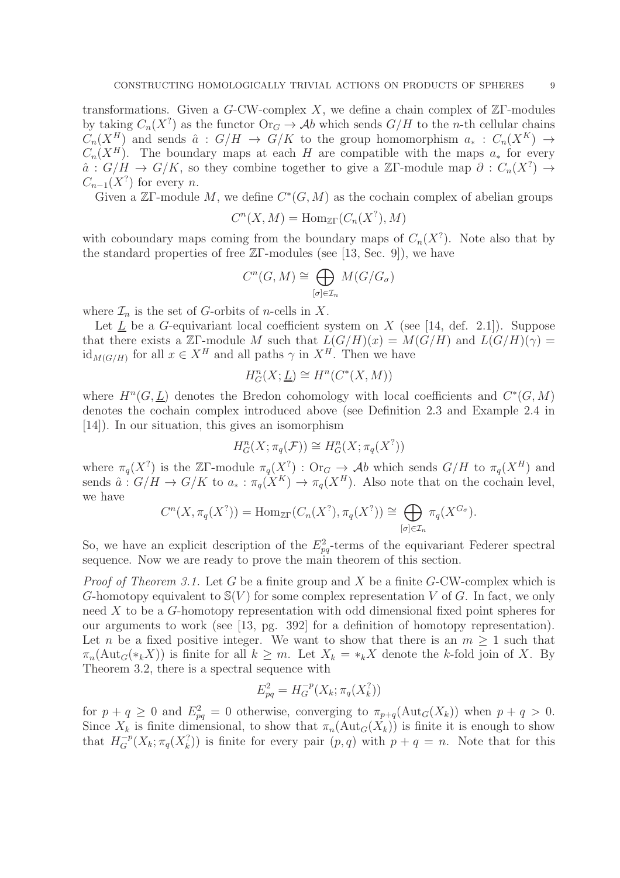transformations. Given a G-CW-complex X, we define a chain complex of  $\mathbb{Z}\Gamma$ -modules by taking  $C_n(X^? )$  as the functor  $\text{Or}_G \to \mathcal{A}b$  which sends  $G/H$  to the *n*-th cellular chains  $C_n(X^H)$  and sends  $\hat{a} : G/H \to G/K$  to the group homomorphism  $a_* : C_n(X^K) \to$  $C_n(X^H)$ . The boundary maps at each H are compatible with the maps  $a_*$  for every  $\hat{a}$ :  $G/H \to G/K$ , so they combine together to give a ZΓ-module map  $\partial : C_n(X^?) \to$  $C_{n-1}(X^?)$  for every n.

Given a  $\mathbb{Z}\Gamma$ -module M, we define  $C^*(G,M)$  as the cochain complex of abelian groups

$$
C^n(X, M) = \text{Hom}_{\mathbb{Z}\Gamma}(C_n(X^?), M)
$$

with coboundary maps coming from the boundary maps of  $C_n(X^?)$ . Note also that by the standard properties of free  $\mathbb{Z}\Gamma$ -modules (see [13, Sec. 9]), we have

$$
C^n(G,M)\cong \bigoplus_{[\sigma]\in \mathcal{I}_n}M(G/G_\sigma)
$$

where  $\mathcal{I}_n$  is the set of G-orbits of *n*-cells in X.

Let  $L$  be a  $G$ -equivariant local coefficient system on  $X$  (see [14, def. 2.1]). Suppose that there exists a  $\mathbb{Z}\Gamma$ -module M such that  $L(G/H)(x) = M(G/H)$  and  $L(G/H)(\gamma) =$  $\mathrm{id}_{M(G/H)}$  for all  $x \in X^H$  and all paths  $\gamma$  in  $X^H$ . Then we have

$$
H_G^n(X; \underline{L}) \cong H^n(C^*(X, M))
$$

where  $H^{n}(G, \underline{L})$  denotes the Bredon cohomology with local coefficients and  $C^{*}(G, M)$ denotes the cochain complex introduced above (see Definition 2.3 and Example 2.4 in [14]). In our situation, this gives an isomorphism

$$
H^n_G(X; \pi_q(\mathcal{F})) \cong H^n_G(X; \pi_q(X^?))
$$

where  $\pi_q(X^?)$  is the ZF-module  $\pi_q(X^?)$ : Or $_G \to Ab$  which sends  $G/H$  to  $\pi_q(X^H)$  and sends  $\hat{a}: G/H \to G/K$  to  $a_*: \pi_q(X^K) \to \pi_q(X^H)$ . Also note that on the cochain level, we have

$$
C^{n}(X,\pi_{q}(X^{?})) = \text{Hom}_{\mathbb{Z}\Gamma}(C_{n}(X^{?}),\pi_{q}(X^{?})) \cong \bigoplus_{[\sigma]\in\mathcal{I}_{n}} \pi_{q}(X^{G_{\sigma}}).
$$

So, we have an explicit description of the  $E_{pq}^2$ -terms of the equivariant Federer spectral sequence. Now we are ready to prove the main theorem of this section.

*Proof of Theorem 3.1.* Let G be a finite group and X be a finite G-CW-complex which is G-homotopy equivalent to  $\mathcal{S}(V)$  for some complex representation V of G. In fact, we only need X to be a G-homotopy representation with odd dimensional fixed point spheres for our arguments to work (see [13, pg. 392] for a definition of homotopy representation). Let n be a fixed positive integer. We want to show that there is an  $m \geq 1$  such that  $\pi_n(\text{Aut}_G(*_kX))$  is finite for all  $k \geq m$ . Let  $X_k = *_kX$  denote the k-fold join of X. By Theorem 3.2, there is a spectral sequence with

$$
E_{pq}^2 = H_G^{-p}(X_k; \pi_q(X_k^?))
$$

for  $p + q \ge 0$  and  $E_{pq}^2 = 0$  otherwise, converging to  $\pi_{p+q}(\text{Aut}_G(X_k))$  when  $p + q > 0$ . Since  $X_k$  is finite dimensional, to show that  $\pi_n(\text{Aut}_G(X_k))$  is finite it is enough to show that  $H_G^{-p}(X_k; \pi_q(X_k^?))$  is finite for every pair  $(p, q)$  with  $p + q = n$ . Note that for this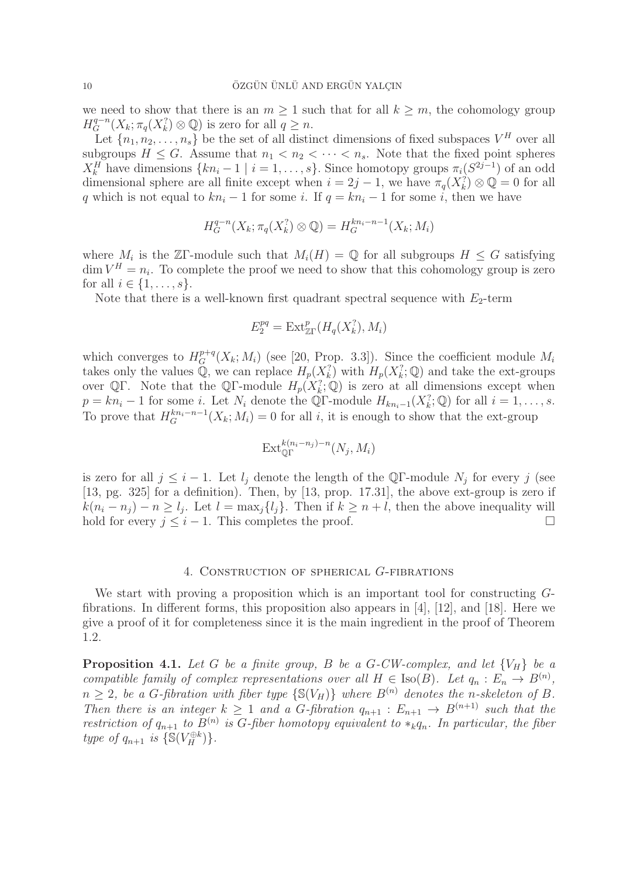we need to show that there is an  $m \geq 1$  such that for all  $k \geq m$ , the cohomology group  $H_G^{q-n}(X_k; \pi_q(X_k^? ) \otimes \mathbb{Q})$  is zero for all  $q \ge n$ .

Let  $\{n_1, n_2, \ldots, n_s\}$  be the set of all distinct dimensions of fixed subspaces  $V^H$  over all subgroups  $H \leq G$ . Assume that  $n_1 < n_2 < \cdots < n_s$ . Note that the fixed point spheres  $X_k^H$  have dimensions  $\{kn_i-1 \mid i=1,\ldots,s\}$ . Since homotopy groups  $\pi_i(S^{2j-1})$  of an odd dimensional sphere are all finite except when  $i = 2j - 1$ , we have  $\pi_q(X_k^? \otimes \mathbb{Q} = 0$  for all q which is not equal to  $kn_i - 1$  for some i. If  $q = kn_i - 1$  for some i, then we have

$$
H_G^{q-n}(X_k; \pi_q(X_k^? ) \otimes \mathbb{Q}) = H_G^{kn_i - n - 1}(X_k; M_i)
$$

where  $M_i$  is the ZF-module such that  $M_i(H) = \mathbb{Q}$  for all subgroups  $H \leq G$  satisfying  $\dim V^H = n_i$ . To complete the proof we need to show that this cohomology group is zero for all  $i \in \{1, \ldots, s\}$ .

Note that there is a well-known first quadrant spectral sequence with  $E_2$ -term

$$
E_2^{pq} = \text{Ext}^p_{\mathbb{Z}\Gamma}(H_q(X_k^?), M_i)
$$

which converges to  $H_G^{p+q}(X_k; M_i)$  (see [20, Prop. 3.3]). Since the coefficient module  $M_i$ takes only the values Q, we can replace  $H_p(X_k^? )$  with  $H_p(X_k^? ; \mathbb{Q})$  and take the ext-groups over QΓ. Note that the QΓ-module  $H_p(X_k^?; \mathbb{Q})$  is zero at all dimensions except when  $p = kn_i - 1$  for some *i*. Let  $N_i$  denote the QF-module  $H_{kn_i-1}(X_k^?; \mathbb{Q})$  for all  $i = 1, ..., s$ . To prove that  $H_G^{kn_i-n-1}(X_k; M_i) = 0$  for all i, it is enough to show that the ext-group

$$
\operatorname{Ext}_{\mathbb{Q}\Gamma}^{k(n_i-n_j)-n}(N_j,M_i)
$$

is zero for all  $j \leq i - 1$ . Let  $l_j$  denote the length of the QF-module  $N_j$  for every j (see [13, pg. 325] for a definition). Then, by [13, prop. 17.31], the above ext-group is zero if  $k(n_i - n_j) - n \ge l_j$ . Let  $l = \max_j \{l_j\}$ . Then if  $k \ge n + l$ , then the above inequality will hold for every  $j \leq i - 1$ . This completes the proof.  $\Box$ 

#### 4. Construction of spherical G-fibrations

We start with proving a proposition which is an important tool for constructing  $G$ fibrations. In different forms, this proposition also appears in [4], [12], and [18]. Here we give a proof of it for completeness since it is the main ingredient in the proof of Theorem 1.2.

**Proposition 4.1.** Let G be a finite group, B be a G-CW-complex, and let  $\{V_H\}$  be a compatible family of complex representations over all  $H \in Iso(B)$ . Let  $q_n : E_n \to B^{(n)}$ ,  $n \geq 2$ , be a G-fibration with fiber type  $\{S(V_H)\}\$  where  $B^{(n)}$  denotes the n-skeleton of B. Then there is an integer  $k \geq 1$  and a G-fibration  $q_{n+1}: E_{n+1} \to B^{(n+1)}$  such that the restriction of  $q_{n+1}$  to  $B^{(n)}$  is G-fiber homotopy equivalent to  $*_kq_n$ . In particular, the fiber type of  $q_{n+1}$  is  $\{ \mathbb{S}(V_H^{\oplus k}) \}.$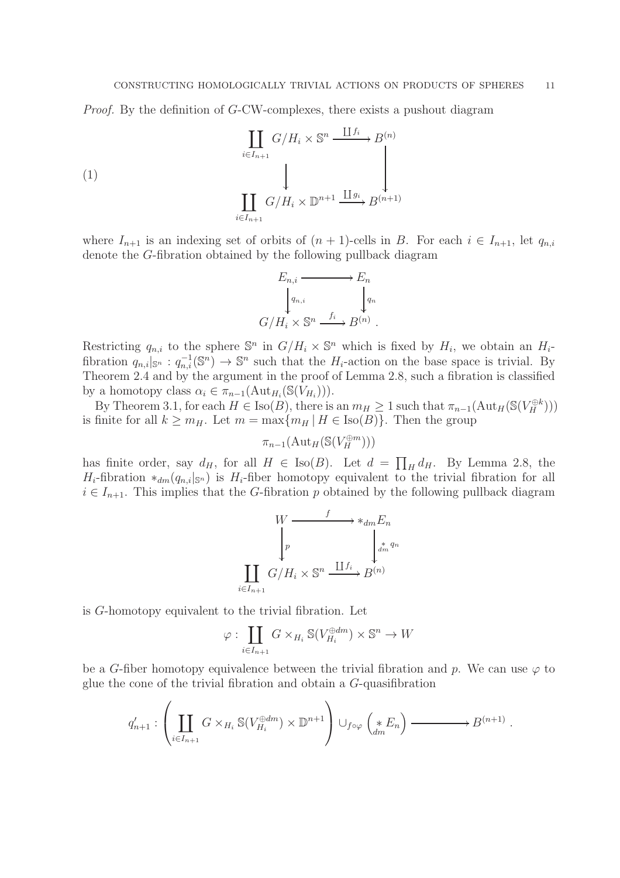Proof. By the definition of G-CW-complexes, there exists a pushout diagram

(1)  
\n
$$
\coprod_{i \in I_{n+1}} G/H_i \times \mathbb{S}^n \xrightarrow{\coprod f_i} B^{(n)}
$$
\n
$$
\coprod_{i \in I_{n+1}} G/H_i \times \mathbb{D}^{n+1} \xrightarrow{\coprod g_i} B^{(n+1)}
$$

where  $I_{n+1}$  is an indexing set of orbits of  $(n + 1)$ -cells in B. For each  $i \in I_{n+1}$ , let  $q_{n,i}$ denote the G-fibration obtained by the following pullback diagram



Restricting  $q_{n,i}$  to the sphere  $\mathbb{S}^n$  in  $G/H_i \times \mathbb{S}^n$  which is fixed by  $H_i$ , we obtain an  $H_i$ fibration  $q_{n,i}|_{\mathbb{S}^n} : q_{n,i}^{-1}(\mathbb{S}^n) \to \mathbb{S}^n$  such that the  $H_i$ -action on the base space is trivial. By Theorem 2.4 and by the argument in the proof of Lemma 2.8, such a fibration is classified by a homotopy class  $\alpha_i \in \pi_{n-1}(\text{Aut}_{H_i}(\mathbb{S}(V_{H_i}))).$ 

By Theorem 3.1, for each  $H \in \text{Iso}(B)$ , there is an  $m_H \geq 1$  such that  $\pi_{n-1}(\text{Aut}_H(\mathbb{S}(V_H^{\oplus k})))$ is finite for all  $k \geq m_H$ . Let  $m = \max\{m_H | H \in \text{Iso}(B)\}\)$ . Then the group

 $\pi_{n-1}(\mathrm{Aut}_H(\mathbb{S}(V_H^{\oplus m})))$ 

has finite order, say  $d_H$ , for all  $H \in \text{Iso}(B)$ . Let  $d = \prod_H d_H$ . By Lemma 2.8, the  $H_i$ -fibration \* $_{dm}(q_{n,i}|_{\mathbb{S}^n})$  is  $H_i$ -fiber homotopy equivalent to the trivial fibration for all  $i \in I_{n+1}$ . This implies that the G-fibration p obtained by the following pullback diagram

$$
W \xrightarrow{f} *_{dm} E_n
$$
  
\n
$$
\downarrow p \qquad \qquad \downarrow s^{m}
$$
  
\n
$$
\coprod_{i=I_{n+1}} G/H_i \times \mathbb{S}^n \xrightarrow{\coprod f_i} B^{(n)}
$$

is G-homotopy equivalent to the trivial fibration. Let

 $\int$ 

$$
\varphi : \coprod_{i \in I_{n+1}} G \times_{H_i} \mathbb{S}(V_{H_i}^{\oplus dm}) \times \mathbb{S}^n \to W
$$

be a G-fiber homotopy equivalence between the trivial fibration and p. We can use  $\varphi$  to glue the cone of the trivial fibration and obtain a G-quasifibration

$$
q'_{n+1}: \left(\coprod_{i\in I_{n+1}} G\times_{H_i} \mathbb{S}(V_{H_i}^{\oplus dm})\times \mathbb{D}^{n+1}\right) \cup_{f\circ\varphi} \left(\underset{dm}{*} E_n\right) \xrightarrow{\qquad} B^{(n+1)}.
$$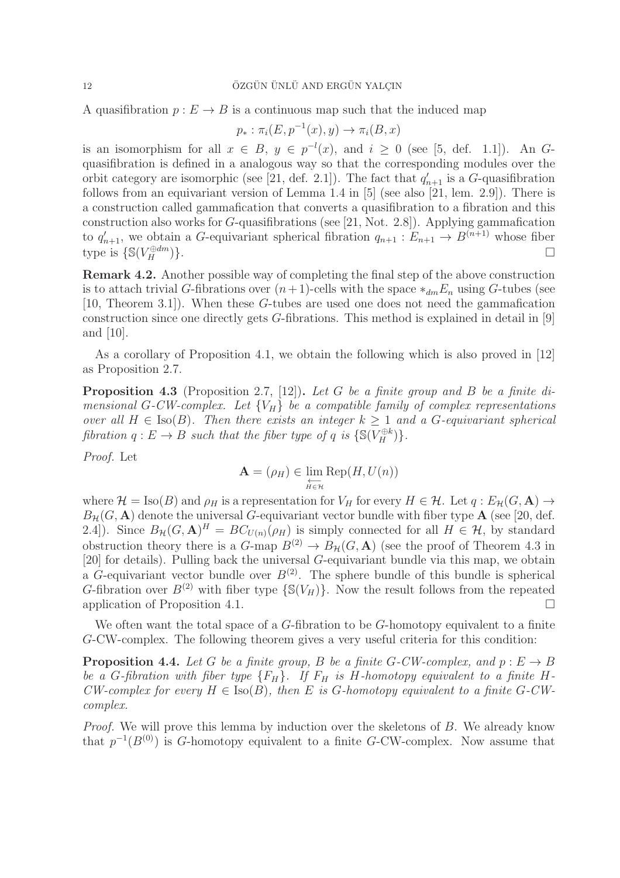A quasifibration  $p: E \to B$  is a continuous map such that the induced map

$$
p_* : \pi_i(E, p^{-1}(x), y) \to \pi_i(B, x)
$$

is an isomorphism for all  $x \in B$ ,  $y \in p^{-l}(x)$ , and  $i \geq 0$  (see [5, def. 1.1]). An Gquasifibration is defined in a analogous way so that the corresponding modules over the orbit category are isomorphic (see [21, def. 2.1]). The fact that  $q'_{n+1}$  is a G-quasifibration follows from an equivariant version of Lemma 1.4 in [5] (see also [21, lem. 2.9]). There is a construction called gammafication that converts a quasifibration to a fibration and this construction also works for G-quasifibrations (see [21, Not. 2.8]). Applying gammafication to  $q'_{n+1}$ , we obtain a G-equivariant spherical fibration  $q_{n+1}: E_{n+1} \to B^{(n+1)}$  whose fiber type is  $\{ \mathbb{S}(V_H^{\oplus dm}$  $\{\oplus dm\}$ .

Remark 4.2. Another possible way of completing the final step of the above construction is to attach trivial G-fibrations over  $(n+1)$ -cells with the space  $*_{dm}E_n$  using G-tubes (see [10, Theorem 3.1]). When these G-tubes are used one does not need the gammafication construction since one directly gets G-fibrations. This method is explained in detail in [9] and [10].

As a corollary of Proposition 4.1, we obtain the following which is also proved in [12] as Proposition 2.7.

**Proposition 4.3** (Proposition 2.7, [12]). Let G be a finite group and B be a finite dimensional G-CW-complex. Let  ${V<sub>H</sub>}$  be a compatible family of complex representations over all  $H \in \text{Iso}(B)$ . Then there exists an integer  $k \geq 1$  and a G-equivariant spherical fibration  $q: E \to B$  such that the fiber type of q is  $\{ \mathbb{S}(V_H^{\oplus k}) \}.$ 

Proof. Let

$$
\mathbf{A} = (\rho_H) \in \varprojlim_{H \in \mathcal{H}} \text{Rep}(H, U(n))
$$

where  $\mathcal{H} = \text{Iso}(B)$  and  $\rho_H$  is a representation for  $V_H$  for every  $H \in \mathcal{H}$ . Let  $q : E_{\mathcal{H}}(G, \mathbf{A}) \to$  $B_{\mathcal{H}}(G, \mathbf{A})$  denote the universal G-equivariant vector bundle with fiber type  $\mathbf{A}$  (see [20, def. 2.4]). Since  $B_{\mathcal{H}}(G, \mathbf{A})^H = BC_{U(n)}(\rho_H)$  is simply connected for all  $H \in \mathcal{H}$ , by standard obstruction theory there is a  $G$ -map  $B^{(2)} \to B_{\mathcal{H}}(G, \mathbf{A})$  (see the proof of Theorem 4.3 in [20] for details). Pulling back the universal G-equivariant bundle via this map, we obtain a G-equivariant vector bundle over  $B^{(2)}$ . The sphere bundle of this bundle is spherical G-fibration over  $B^{(2)}$  with fiber type  $\{S(V_H)\}\$ . Now the result follows from the repeated application of Proposition 4.1.

We often want the total space of a  $G$ -fibration to be  $G$ -homotopy equivalent to a finite G-CW-complex. The following theorem gives a very useful criteria for this condition:

**Proposition 4.4.** Let G be a finite group, B be a finite G-CW-complex, and  $p : E \to B$ be a G-fibration with fiber type  ${F_H}$ . If  $F_H$  is H-homotopy equivalent to a finite H-CW-complex for every  $H \in \text{Iso}(B)$ , then E is G-homotopy equivalent to a finite G-CWcomplex.

Proof. We will prove this lemma by induction over the skeletons of B. We already know that  $p^{-1}(B^{(0)})$  is G-homotopy equivalent to a finite G-CW-complex. Now assume that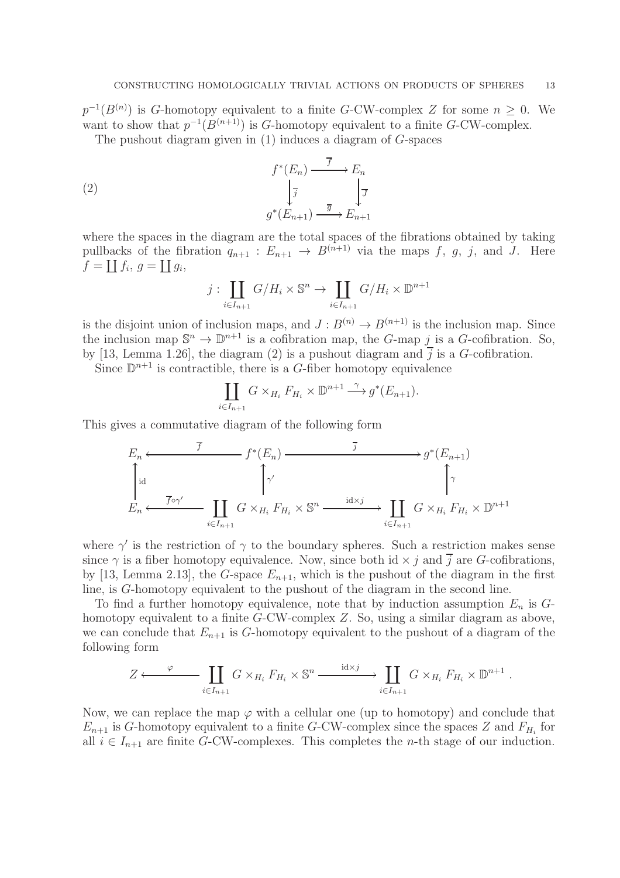$p^{-1}(B^{(n)})$  is G-homotopy equivalent to a finite G-CW-complex Z for some  $n \geq 0$ . We want to show that  $p^{-1}(B^{(n+1)})$  is G-homotopy equivalent to a finite G-CW-complex.

The pushout diagram given in  $(1)$  induces a diagram of  $G$ -spaces

(2) 
$$
f^*(E_n) \xrightarrow{\overline{f}} E_n
$$

$$
\downarrow \overline{j} \qquad \qquad \downarrow \overline{J}
$$

$$
g^*(E_{n+1}) \xrightarrow{\overline{g}} E_{n+1}
$$

where the spaces in the diagram are the total spaces of the fibrations obtained by taking pullbacks of the fibration  $q_{n+1}: E_{n+1} \to B^{(n+1)}$  via the maps f, g, j, and J. Here  $\overline{f} = \coprod f_i, g = \coprod g_i,$ 

$$
j: \coprod_{i \in I_{n+1}} G/H_i \times \mathbb{S}^n \to \coprod_{i \in I_{n+1}} G/H_i \times \mathbb{D}^{n+1}
$$

is the disjoint union of inclusion maps, and  $J: B^{(n)} \to B^{(n+1)}$  is the inclusion map. Since the inclusion map  $\mathbb{S}^n \to \mathbb{D}^{n+1}$  is a cofibration map, the *G*-map *j* is a *G*-cofibration. So, by [13, Lemma 1.26], the diagram (2) is a pushout diagram and  $\overline{j}$  is a G-cofibration.

Since  $\mathbb{D}^{n+1}$  is contractible, there is a G-fiber homotopy equivalence

$$
\coprod_{i\in I_{n+1}} G \times_{H_i} F_{H_i} \times \mathbb{D}^{n+1} \xrightarrow{\gamma} g^*(E_{n+1}).
$$

This gives a commutative diagram of the following form

$$
E_n \xleftarrow{\overline{f}}
$$
\n
$$
f^*(E_n) \xrightarrow{\overline{j}}
$$
\n
$$
g^*(E_{n+1})
$$
\n
$$
\uparrow
$$
\n
$$
E_n \xleftarrow{\overline{f} \circ \gamma'}
$$
\n
$$
\coprod_{i \in I_{n+1}} G \times_{H_i} F_{H_i} \times \mathbb{S}^n \xrightarrow{\operatorname{id} \times j} \coprod_{i \in I_{n+1}} G \times_{H_i} F_{H_i} \times \mathbb{D}^{n+1}
$$

where  $\gamma'$  is the restriction of  $\gamma$  to the boundary spheres. Such a restriction makes sense since  $\gamma$  is a fiber homotopy equivalence. Now, since both id  $\times$  j and j are G-cofibrations, by [13, Lemma 2.13], the G-space  $E_{n+1}$ , which is the pushout of the diagram in the first line, is G-homotopy equivalent to the pushout of the diagram in the second line.

To find a further homotopy equivalence, note that by induction assumption  $E_n$  is  $G$ homotopy equivalent to a finite G-CW-complex Z. So, using a similar diagram as above, we can conclude that  $E_{n+1}$  is G-homotopy equivalent to the pushout of a diagram of the following form

$$
Z \longleftarrow \coprod_{i \in I_{n+1}} G \times_{H_i} F_{H_i} \times \mathbb{S}^n \xrightarrow{\operatorname{id} \times j} \coprod_{i \in I_{n+1}} G \times_{H_i} F_{H_i} \times \mathbb{D}^{n+1} .
$$

Now, we can replace the map  $\varphi$  with a cellular one (up to homotopy) and conclude that  $E_{n+1}$  is G-homotopy equivalent to a finite G-CW-complex since the spaces Z and  $F_{H_i}$  for all  $i \in I_{n+1}$  are finite G-CW-complexes. This completes the *n*-th stage of our induction.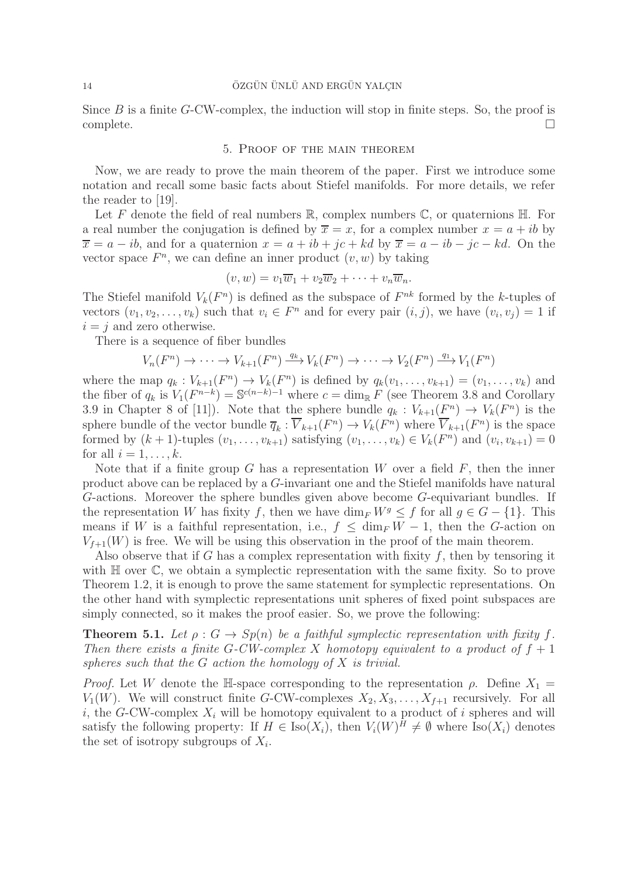Since  $B$  is a finite  $G$ -CW-complex, the induction will stop in finite steps. So, the proof is complete. □

#### 5. Proof of the main theorem

Now, we are ready to prove the main theorem of the paper. First we introduce some notation and recall some basic facts about Stiefel manifolds. For more details, we refer the reader to [19].

Let F denote the field of real numbers  $\mathbb{R}$ , complex numbers  $\mathbb{C}$ , or quaternions  $\mathbb{H}$ . For a real number the conjugation is defined by  $\overline{x} = x$ , for a complex number  $x = a + ib$  by  $\overline{x} = a - ib$ , and for a quaternion  $x = a + ib + jc + kd$  by  $\overline{x} = a - ib - jc - kd$ . On the vector space  $F<sup>n</sup>$ , we can define an inner product  $(v, w)$  by taking

$$
(v, w) = v_1 \overline{w}_1 + v_2 \overline{w}_2 + \cdots + v_n \overline{w}_n.
$$

The Stiefel manifold  $V_k(F^n)$  is defined as the subspace of  $F^{nk}$  formed by the k-tuples of vectors  $(v_1, v_2, \ldots, v_k)$  such that  $v_i \in F^n$  and for every pair  $(i, j)$ , we have  $(v_i, v_j) = 1$  if  $i = j$  and zero otherwise.

There is a sequence of fiber bundles

$$
V_n(F^n) \to \cdots \to V_{k+1}(F^n) \xrightarrow{q_k} V_k(F^n) \to \cdots \to V_2(F^n) \xrightarrow{q_1} V_1(F^n)
$$

where the map  $q_k: V_{k+1}(F^n) \to V_k(F^n)$  is defined by  $q_k(v_1,\ldots,v_{k+1}) = (v_1,\ldots,v_k)$  and the fiber of  $q_k$  is  $V_1(F^{n-k}) = \mathbb{S}^{c(n-k)-1}$  where  $c = \dim_{\mathbb{R}} F$  (see Theorem 3.8 and Corollary 3.9 in Chapter 8 of [11]). Note that the sphere bundle  $q_k : V_{k+1}(F^n) \to V_k(F^n)$  is the sphere bundle of the vector bundle  $\overline{q}_k : \overline{V}_{k+1}(F^n) \to V_k(F^n)$  where  $\overline{V}_{k+1}(F^n)$  is the space formed by  $(k+1)$ -tuples  $(v_1, \ldots, v_{k+1})$  satisfying  $(v_1, \ldots, v_k) \in V_k(F^n)$  and  $(v_i, v_{k+1}) = 0$ for all  $i = 1, \ldots, k$ .

Note that if a finite group  $G$  has a representation  $W$  over a field  $F$ , then the inner product above can be replaced by a G-invariant one and the Stiefel manifolds have natural G-actions. Moreover the sphere bundles given above become G-equivariant bundles. If the representation W has fixity f, then we have  $\dim_F W^g \leq f$  for all  $g \in G - \{1\}$ . This means if W is a faithful representation, i.e.,  $f \n\leq \dim_F W - 1$ , then the G-action on  $V_{f+1}(W)$  is free. We will be using this observation in the proof of the main theorem.

Also observe that if G has a complex representation with fixity  $f$ , then by tensoring it with  $\mathbb H$  over  $\mathbb C$ , we obtain a symplectic representation with the same fixity. So to prove Theorem 1.2, it is enough to prove the same statement for symplectic representations. On the other hand with symplectic representations unit spheres of fixed point subspaces are simply connected, so it makes the proof easier. So, we prove the following:

**Theorem 5.1.** Let  $\rho$ :  $G \rightarrow Sp(n)$  be a faithful symplectic representation with fixity f. Then there exists a finite G-CW-complex X homotopy equivalent to a product of  $f + 1$ spheres such that the  $G$  action the homology of  $X$  is trivial.

*Proof.* Let W denote the H-space corresponding to the representation  $\rho$ . Define  $X_1 =$  $V_1(W)$ . We will construct finite G-CW-complexes  $X_2, X_3, \ldots, X_{f+1}$  recursively. For all i, the G-CW-complex  $X_i$  will be homotopy equivalent to a product of i spheres and will satisfy the following property: If  $H \in Iso(X_i)$ , then  $V_i(W)^H \neq \emptyset$  where  $Iso(X_i)$  denotes the set of isotropy subgroups of  $X_i$ .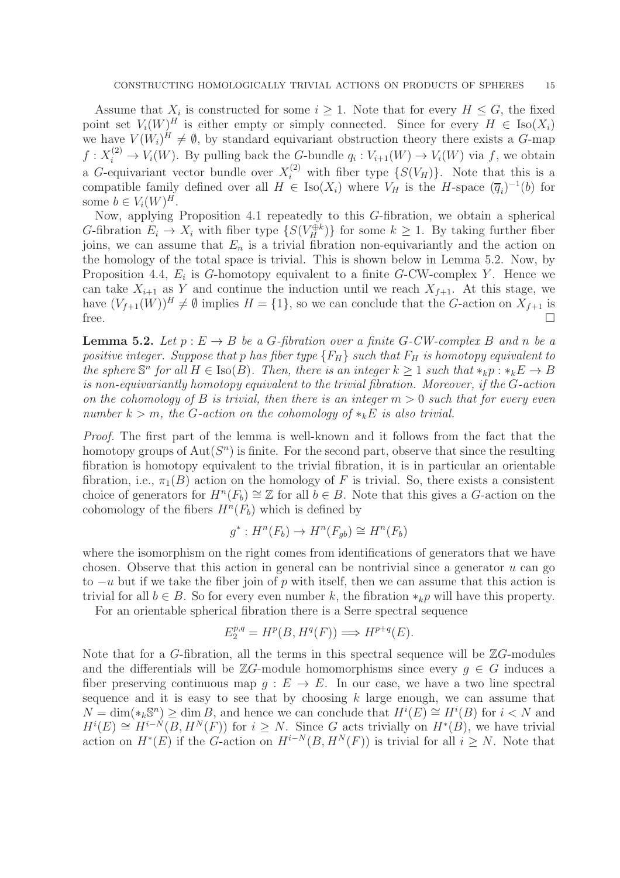Assume that  $X_i$  is constructed for some  $i \geq 1$ . Note that for every  $H \leq G$ , the fixed point set  $V_i(W)^H$  is either empty or simply connected. Since for every  $H \in \text{Iso}(X_i)$ we have  $V(W_i)^H \neq \emptyset$ , by standard equivariant obstruction theory there exists a G-map  $f: X_i^{(2)} \to V_i(W)$ . By pulling back the G-bundle  $q_i: V_{i+1}(W) \to V_i(W)$  via f, we obtain a G-equivariant vector bundle over  $X_i^{(2)}$  with fiber type  $\{S(V_H)\}\$ . Note that this is a compatible family defined over all  $H \in Iso(X_i)$  where  $V_H$  is the H-space  $(\overline{q}_i)^{-1}(b)$  for some  $b \in V_i(W)^H$ .

Now, applying Proposition 4.1 repeatedly to this G-fibration, we obtain a spherical G-fibration  $E_i \to X_i$  with fiber type  $\{S(V_H^{\oplus k})\}$  for some  $k \geq 1$ . By taking further fiber joins, we can assume that  $E_n$  is a trivial fibration non-equivariantly and the action on the homology of the total space is trivial. This is shown below in Lemma 5.2. Now, by Proposition 4.4,  $E_i$  is G-homotopy equivalent to a finite G-CW-complex Y. Hence we can take  $X_{i+1}$  as Y and continue the induction until we reach  $X_{f+1}$ . At this stage, we have  $(V_{f+1}(W))^H \neq \emptyset$  implies  $H = \{1\}$ , so we can conclude that the G-action on  $X_{f+1}$  is free.

**Lemma 5.2.** Let  $p : E \to B$  be a G-fibration over a finite G-CW-complex B and n be a positive integer. Suppose that p has fiber type  ${F_H}$  such that  $F_H$  is homotopy equivalent to the sphere  $\mathbb{S}^n$  for all  $H \in \text{Iso}(B)$ . Then, there is an integer  $k \geq 1$  such that  $*_k p : *_k E \to B$ is non-equivariantly homotopy equivalent to the trivial fibration. Moreover, if the G-action on the cohomology of B is trivial, then there is an integer  $m > 0$  such that for every even number  $k > m$ , the G-action on the cohomology of  $*_k E$  is also trivial.

Proof. The first part of the lemma is well-known and it follows from the fact that the homotopy groups of  $\text{Aut}(S^n)$  is finite. For the second part, observe that since the resulting fibration is homotopy equivalent to the trivial fibration, it is in particular an orientable fibration, i.e.,  $\pi_1(B)$  action on the homology of F is trivial. So, there exists a consistent choice of generators for  $H^n(F_b) \cong \mathbb{Z}$  for all  $b \in B$ . Note that this gives a G-action on the cohomology of the fibers  $H^n(F_b)$  which is defined by

$$
g^*: H^n(F_b) \to H^n(F_{gb}) \cong H^n(F_b)
$$

where the isomorphism on the right comes from identifications of generators that we have chosen. Observe that this action in general can be nontrivial since a generator  $u$  can go to  $-u$  but if we take the fiber join of p with itself, then we can assume that this action is trivial for all  $b \in B$ . So for every even number k, the fibration  $*_k p$  will have this property.

For an orientable spherical fibration there is a Serre spectral sequence

$$
E_2^{p,q} = H^p(B, H^q(F)) \Longrightarrow H^{p+q}(E).
$$

Note that for a G-fibration, all the terms in this spectral sequence will be  $\mathbb{Z}G$ -modules and the differentials will be  $\mathbb{Z}G$ -module homomorphisms since every  $q \in G$  induces a fiber preserving continuous map  $q : E \to E$ . In our case, we have a two line spectral sequence and it is easy to see that by choosing  $k$  large enough, we can assume that  $N = \dim(\ast_k \mathbb{S}^n) \ge \dim B$ , and hence we can conclude that  $H^i(E) \cong H^i(B)$  for  $i < N$  and  $H^{i}(E) \cong H^{i-N}(B, H^N(F))$  for  $i \geq N$ . Since G acts trivially on  $H^{*}(B)$ , we have trivial action on  $H^*(E)$  if the G-action on  $H^{i-N}(B, H^N(F))$  is trivial for all  $i \geq N$ . Note that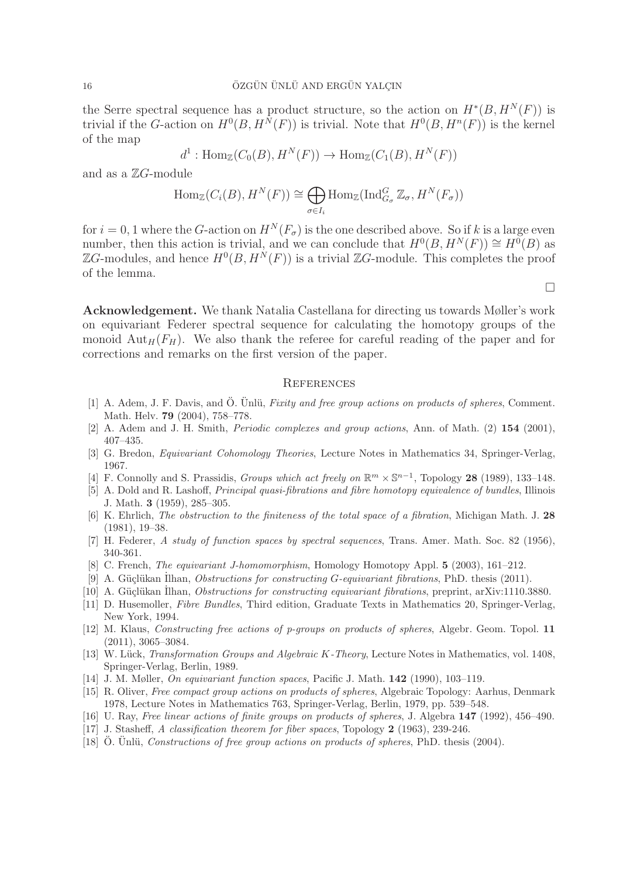the Serre spectral sequence has a product structure, so the action on  $H^*(B, H^N(F))$  is trivial if the G-action on  $H^0(B, H^N(F))$  is trivial. Note that  $H^0(B, H^n(F))$  is the kernel of the map

$$
d^1: \text{Hom}_{\mathbb{Z}}(C_0(B), H^N(F)) \to \text{Hom}_{\mathbb{Z}}(C_1(B), H^N(F))
$$

and as a  $\mathbb{Z}G$ -module

$$
\text{Hom}_{\mathbb{Z}}(C_i(B), H^N(F)) \cong \bigoplus_{\sigma \in I_i} \text{Hom}_{\mathbb{Z}}(\text{Ind}_{G_{\sigma}}^G \mathbb{Z}_{\sigma}, H^N(F_{\sigma}))
$$

for  $i = 0, 1$  where the G-action on  $H^N(F_\sigma)$  is the one described above. So if k is a large even number, then this action is trivial, and we can conclude that  $H^0(B, H^N(F)) \cong H^0(B)$  as ZG-modules, and hence  $H^0(B, H^N(F))$  is a trivial ZG-module. This completes the proof of the lemma.

Acknowledgement. We thank Natalia Castellana for directing us towards Møller's work on equivariant Federer spectral sequence for calculating the homotopy groups of the monoid  $\text{Aut}_H(F_H)$ . We also thank the referee for careful reading of the paper and for corrections and remarks on the first version of the paper.

#### **REFERENCES**

- [1] A. Adem, J. F. Davis, and Ö. Unlü, Fixity and free group actions on products of spheres, Comment. Math. Helv. 79 (2004), 758–778.
- [2] A. Adem and J. H. Smith, Periodic complexes and group actions, Ann. of Math. (2) 154 (2001), 407–435.
- [3] G. Bredon, Equivariant Cohomology Theories, Lecture Notes in Mathematics 34, Springer-Verlag, 1967.
- [4] F. Connolly and S. Prassidis, *Groups which act freely on*  $\mathbb{R}^m \times \mathbb{S}^{n-1}$ , Topology 28 (1989), 133–148.
- [5] A. Dold and R. Lashoff, Principal quasi-fibrations and fibre homotopy equivalence of bundles, Illinois J. Math. 3 (1959), 285–305.
- [6] K. Ehrlich, The obstruction to the finiteness of the total space of a fibration, Michigan Math. J. 28 (1981), 19–38.
- [7] H. Federer, A study of function spaces by spectral sequences, Trans. Amer. Math. Soc. 82 (1956), 340-361.
- [8] C. French, The equivariant J-homomorphism, Homology Homotopy Appl. 5 (2003), 161–212.
- [9] A. Güçlükan Ilhan, *Obstructions for constructing G-equivariant fibrations*, PhD. thesis  $(2011)$ .
- [10] A. Güçlükan İlhan, *Obstructions for constructing equivariant fibrations*, preprint, arXiv:1110.3880.
- [11] D. Husemoller, Fibre Bundles, Third edition, Graduate Texts in Mathematics 20, Springer-Verlag, New York, 1994.
- [12] M. Klaus, Constructing free actions of p-groups on products of spheres, Algebr. Geom. Topol. 11 (2011), 3065–3084.
- [13] W. Lück, Transformation Groups and Algebraic K-Theory, Lecture Notes in Mathematics, vol. 1408, Springer-Verlag, Berlin, 1989.
- [14] J. M. Møller, On equivariant function spaces, Pacific J. Math. 142 (1990), 103–119.
- [15] R. Oliver, Free compact group actions on products of spheres, Algebraic Topology: Aarhus, Denmark 1978, Lecture Notes in Mathematics 763, Springer-Verlag, Berlin, 1979, pp. 539–548.
- [16] U. Ray, Free linear actions of finite groups on products of spheres, J. Algebra 147 (1992), 456–490.
- [17] J. Stasheff, A classification theorem for fiber spaces, Topology 2 (1963), 239-246.
- [18] O. Unlü, Constructions of free group actions on products of spheres, PhD. thesis (2004).

 $\Box$